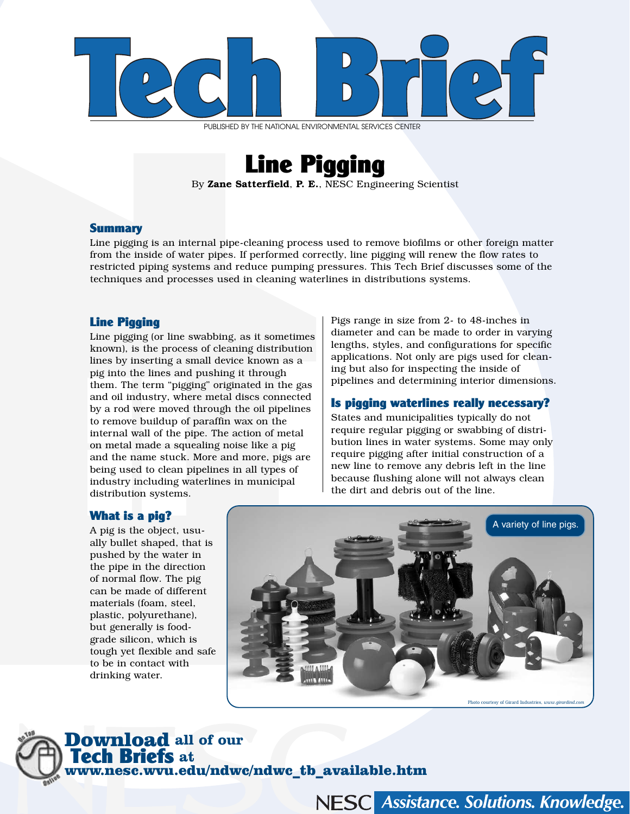

PUBLISHED BY THE NATIONAL ENVIRONMENTAL SERVICES CENTER



By Zane Satterfield, P. E., NESC Engineering Scientist

## **Summary**

Line pigging is an internal pipe-cleaning process used to remove biofilms or other foreign matter from the inside of water pipes. If performed correctly, line pigging will renew the flow rates to restricted piping systems and reduce pumping pressures. This Tech Brief discusses some of the techniques and processes used in cleaning waterlines in distributions systems.

## Line Pigging

Line pigging (or line swabbing, as it sometimes known), is the process of cleaning distribution lines by inserting a small device known as a pig into the lines and pushing it through them. The term "pigging" originated in the gas and oil industry, where metal discs connected by a rod were moved through the oil pipelines to remove buildup of paraffin wax on the internal wall of the pipe. The action of metal on metal made a squealing noise like a pig and the name stuck. More and more, pigs are being used to clean pipelines in all types of industry including waterlines in municipal distribution systems.

Pigs range in size from 2- to 48-inches in diameter and can be made to order in varying lengths, styles, and configurations for specific applications. Not only are pigs used for cleaning but also for inspecting the inside of pipelines and determining interior dimensions.

### Is pigging waterlines really necessary?

States and municipalities typically do not require regular pigging or swabbing of distribution lines in water systems. Some may only require pigging after initial construction of a new line to remove any debris left in the line because flushing alone will not always clean the dirt and debris out of the line.

### What is a pig?

A pig is the object, usually bullet shaped, that is pushed by the water in the pipe in the direction of normal flow. The pig can be made of different materials (foam, steel, plastic, polyurethane), but generally is foodgrade silicon, which is tough yet flexible and safe to be in contact with drinking water.



# Download **all of our**  Tech Briefs **at**  www.nesc.wvu.edu/ndwc/ndwc\_tb\_available.htm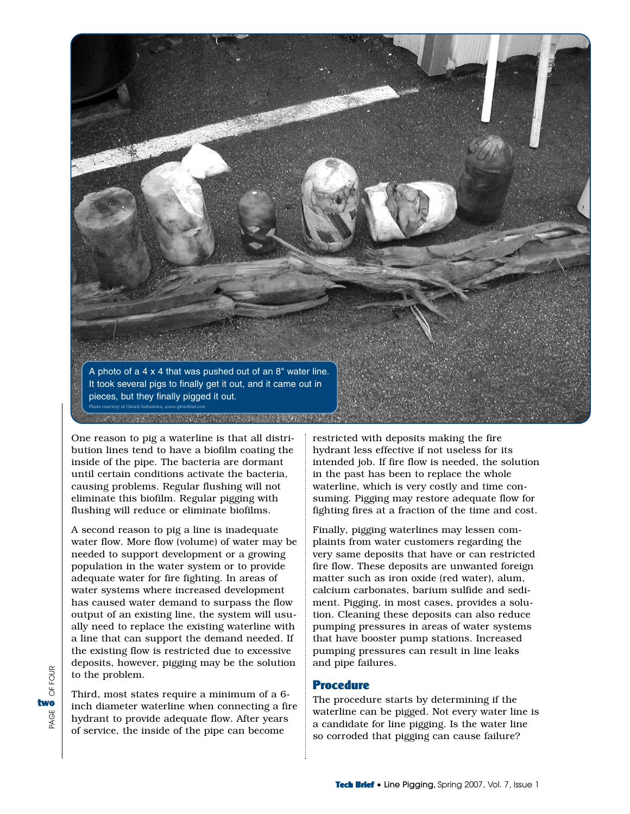

One reason to pig a waterline is that all distribution lines tend to have a biofilm coating the inside of the pipe. The bacteria are dormant until certain conditions activate the bacteria, causing problems. Regular flushing will not eliminate this biofilm. Regular pigging with flushing will reduce or eliminate biofilms.

A second reason to pig a line is inadequate water flow. More flow (volume) of water may be needed to support development or a growing population in the water system or to provide adequate water for fire fighting. In areas of water systems where increased development has caused water demand to surpass the flow output of an existing line, the system will usually need to replace the existing waterline with a line that can support the demand needed. If the existing flow is restricted due to excessive deposits, however, pigging may be the solution to the problem.

Third, most states require a minimum of a 6 inch diameter waterline when connecting a fire hydrant to provide adequate flow. After years of service, the inside of the pipe can become

restricted with deposits making the fire hydrant less effective if not useless for its intended job. If fire flow is needed, the solution in the past has been to replace the whole waterline, which is very costly and time consuming. Pigging may restore adequate flow for fighting fires at a fraction of the time and cost.

Finally, pigging waterlines may lessen complaints from water customers regarding the very same deposits that have or can restricted fire flow. These deposits are unwanted foreign matter such as iron oxide (red water), alum, calcium carbonates, barium sulfide and sediment. Pigging, in most cases, provides a solution. Cleaning these deposits can also reduce pumping pressures in areas of water systems that have booster pump stations. Increased pumping pressures can result in line leaks and pipe failures.

#### Procedure

The procedure starts by determining if the waterline can be pigged. Not every water line is a candidate for line pigging. Is the water line so corroded that pigging can cause failure?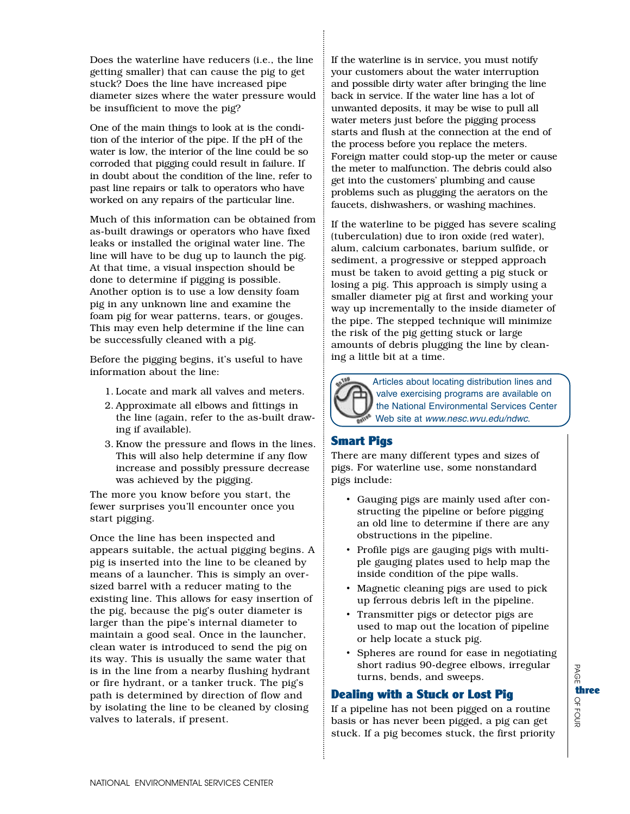Does the waterline have reducers (i.e., the line getting smaller) that can cause the pig to get stuck? Does the line have increased pipe diameter sizes where the water pressure would be insufficient to move the pig?

One of the main things to look at is the condition of the interior of the pipe. If the pH of the water is low, the interior of the line could be so corroded that pigging could result in failure. If in doubt about the condition of the line, refer to past line repairs or talk to operators who have worked on any repairs of the particular line.

Much of this information can be obtained from as-built drawings or operators who have fixed leaks or installed the original water line. The line will have to be dug up to launch the pig. At that time, a visual inspection should be done to determine if pigging is possible. Another option is to use a low density foam pig in any unknown line and examine the foam pig for wear patterns, tears, or gouges. This may even help determine if the line can be successfully cleaned with a pig.

Before the pigging begins, it's useful to have information about the line:

- 1. Locate and mark all valves and meters.
- 2. Approximate all elbows and fittings in the line (again, refer to the as-built drawing if available).
- 3. Know the pressure and flows in the lines. This will also help determine if any flow increase and possibly pressure decrease was achieved by the pigging.

The more you know before you start, the fewer surprises you'll encounter once you start pigging.

Once the line has been inspected and appears suitable, the actual pigging begins. A pig is inserted into the line to be cleaned by means of a launcher. This is simply an oversized barrel with a reducer mating to the existing line. This allows for easy insertion of the pig, because the pig's outer diameter is larger than the pipe's internal diameter to maintain a good seal. Once in the launcher, clean water is introduced to send the pig on its way. This is usually the same water that is in the line from a nearby flushing hydrant or fire hydrant, or a tanker truck. The pig's path is determined by direction of flow and by isolating the line to be cleaned by closing valves to laterals, if present.

If the waterline is in service, you must notify your customers about the water interruption and possible dirty water after bringing the line back in service. If the water line has a lot of unwanted deposits, it may be wise to pull all water meters just before the pigging process starts and flush at the connection at the end of the process before you replace the meters. Foreign matter could stop-up the meter or cause the meter to malfunction. The debris could also get into the customers' plumbing and cause problems such as plugging the aerators on the faucets, dishwashers, or washing machines.

If the waterline to be pigged has severe scaling (tuberculation) due to iron oxide (red water), alum, calcium carbonates, barium sulfide, or sediment, a progressive or stepped approach must be taken to avoid getting a pig stuck or losing a pig. This approach is simply using a smaller diameter pig at first and working your way up incrementally to the inside diameter of the pipe. The stepped technique will minimize the risk of the pig getting stuck or large amounts of debris plugging the line by cleaning a little bit at a time.



Articles about locating distribution lines and valve exercising programs are available on the National Environmental Services Center Web site at www.nesc.wvu.edu/ndwc.

# Smart Pigs

There are many different types and sizes of pigs. For waterline use, some nonstandard pigs include:

- Gauging pigs are mainly used after constructing the pipeline or before pigging an old line to determine if there are any obstructions in the pipeline.
- Profile pigs are gauging pigs with multiple gauging plates used to help map the inside condition of the pipe walls.
- Magnetic cleaning pigs are used to pick up ferrous debris left in the pipeline.
- Transmitter pigs or detector pigs are used to map out the location of pipeline or help locate a stuck pig.
- Spheres are round for ease in negotiating short radius 90-degree elbows, irregular turns, bends, and sweeps.

# Dealing with a Stuck or Lost Pig

If a pipeline has not been pigged on a routine basis or has never been pigged, a pig can get stuck. If a pig becomes stuck, the first priority